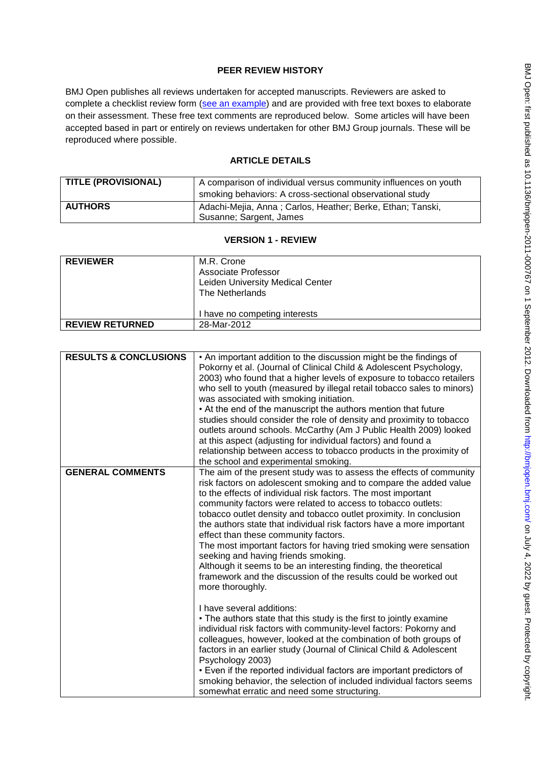# **PEER REVIEW HISTORY**

BMJ Open publishes all reviews undertaken for accepted manuscripts. Reviewers are asked to complete a checklist review form [\(see an example\)](http://bmjopen.bmj.com/site/about/resources/ScholarOne_Manuscripts.pdf) and are provided with free text boxes to elaborate on their assessment. These free text comments are reproduced below. Some articles will have been accepted based in part or entirely on reviews undertaken for other BMJ Group journals. These will be reproduced where possible.

# **ARTICLE DETAILS**

| <b>TITLE (PROVISIONAL)</b> | A comparison of individual versus community influences on youth<br>smoking behaviors: A cross-sectional observational study |
|----------------------------|-----------------------------------------------------------------------------------------------------------------------------|
| <b>AUTHORS</b>             | Adachi-Mejia, Anna; Carlos, Heather; Berke, Ethan; Tanski,<br>Susanne; Sargent, James                                       |

## **VERSION 1 - REVIEW**

| <b>REVIEWER</b>        | M.R. Crone<br>Associate Professor<br>Leiden University Medical Center<br>The Netherlands |
|------------------------|------------------------------------------------------------------------------------------|
|                        | I have no competing interests                                                            |
| <b>REVIEW RETURNED</b> | 28-Mar-2012                                                                              |

| <b>RESULTS &amp; CONCLUSIONS</b> | • An important addition to the discussion might be the findings of<br>Pokorny et al. (Journal of Clinical Child & Adolescent Psychology,<br>2003) who found that a higher levels of exposure to tobacco retailers<br>who sell to youth (measured by illegal retail tobacco sales to minors)<br>was associated with smoking initiation.<br>• At the end of the manuscript the authors mention that future<br>studies should consider the role of density and proximity to tobacco<br>outlets around schools. McCarthy (Am J Public Health 2009) looked<br>at this aspect (adjusting for individual factors) and found a<br>relationship between access to tobacco products in the proximity of<br>the school and experimental smoking.                                                                                                      |
|----------------------------------|--------------------------------------------------------------------------------------------------------------------------------------------------------------------------------------------------------------------------------------------------------------------------------------------------------------------------------------------------------------------------------------------------------------------------------------------------------------------------------------------------------------------------------------------------------------------------------------------------------------------------------------------------------------------------------------------------------------------------------------------------------------------------------------------------------------------------------------------|
| <b>GENERAL COMMENTS</b>          | The aim of the present study was to assess the effects of community<br>risk factors on adolescent smoking and to compare the added value<br>to the effects of individual risk factors. The most important<br>community factors were related to access to tobacco outlets:<br>tobacco outlet density and tobacco outlet proximity. In conclusion<br>the authors state that individual risk factors have a more important<br>effect than these community factors.<br>The most important factors for having tried smoking were sensation<br>seeking and having friends smoking.<br>Although it seems to be an interesting finding, the theoretical<br>framework and the discussion of the results could be worked out<br>more thoroughly.<br>I have several additions:<br>• The authors state that this study is the first to jointly examine |
|                                  | individual risk factors with community-level factors: Pokorny and<br>colleagues, however, looked at the combination of both groups of<br>factors in an earlier study (Journal of Clinical Child & Adolescent<br>Psychology 2003)<br>• Even if the reported individual factors are important predictors of<br>smoking behavior, the selection of included individual factors seems<br>somewhat erratic and need some structuring.                                                                                                                                                                                                                                                                                                                                                                                                           |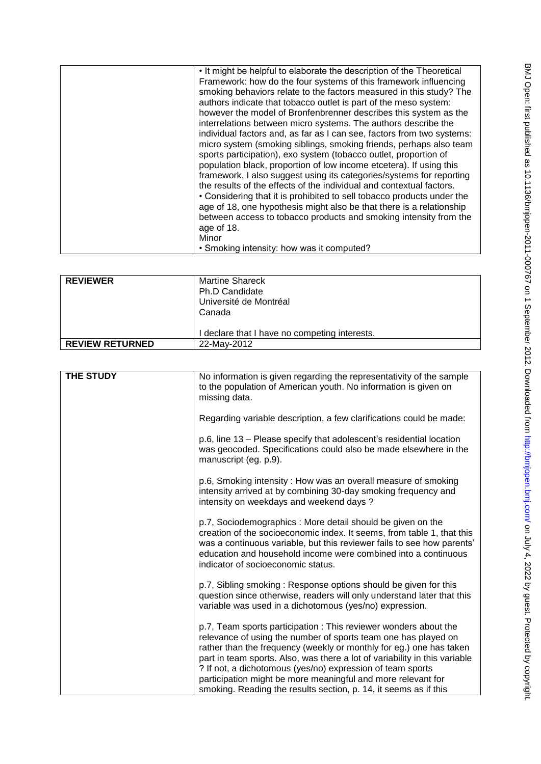| . It might be helpful to elaborate the description of the Theoretical  |
|------------------------------------------------------------------------|
| Framework: how do the four systems of this framework influencing       |
| smoking behaviors relate to the factors measured in this study? The    |
| authors indicate that tobacco outlet is part of the meso system:       |
| however the model of Bronfenbrenner describes this system as the       |
| interrelations between micro systems. The authors describe the         |
| individual factors and, as far as I can see, factors from two systems: |
| micro system (smoking siblings, smoking friends, perhaps also team     |
| sports participation), exo system (tobacco outlet, proportion of       |
| population black, proportion of low income etcetera). If using this    |
| framework, I also suggest using its categories/systems for reporting   |
| the results of the effects of the individual and contextual factors.   |
| • Considering that it is prohibited to sell tobacco products under the |
| age of 18, one hypothesis might also be that there is a relationship   |
| between access to tobacco products and smoking intensity from the      |
| age of 18.                                                             |
| Minor                                                                  |
| • Smoking intensity: how was it computed?                              |

| <b>REVIEWER</b>        | Martine Shareck                             |
|------------------------|---------------------------------------------|
|                        | Ph.D Candidate                              |
|                        | Université de Montréal                      |
|                        | Canada                                      |
|                        |                                             |
|                        | declare that I have no competing interests. |
| <b>REVIEW RETURNED</b> | 22-May-2012                                 |
|                        |                                             |

| <b>THE STUDY</b> | No information is given regarding the representativity of the sample<br>to the population of American youth. No information is given on<br>missing data.                                                                                                                                                                                                                                                                                                                                  |
|------------------|-------------------------------------------------------------------------------------------------------------------------------------------------------------------------------------------------------------------------------------------------------------------------------------------------------------------------------------------------------------------------------------------------------------------------------------------------------------------------------------------|
|                  | Regarding variable description, a few clarifications could be made:                                                                                                                                                                                                                                                                                                                                                                                                                       |
|                  | p.6, line 13 - Please specify that adolescent's residential location<br>was geocoded. Specifications could also be made elsewhere in the<br>manuscript (eg. p.9).                                                                                                                                                                                                                                                                                                                         |
|                  | p.6, Smoking intensity: How was an overall measure of smoking<br>intensity arrived at by combining 30-day smoking frequency and<br>intensity on weekdays and weekend days?                                                                                                                                                                                                                                                                                                                |
|                  | p.7, Sociodemographics: More detail should be given on the<br>creation of the socioeconomic index. It seems, from table 1, that this<br>was a continuous variable, but this reviewer fails to see how parents'<br>education and household income were combined into a continuous<br>indicator of socioeconomic status.                                                                                                                                                                    |
|                  | p.7, Sibling smoking: Response options should be given for this<br>question since otherwise, readers will only understand later that this<br>variable was used in a dichotomous (yes/no) expression.                                                                                                                                                                                                                                                                                      |
|                  | p.7, Team sports participation : This reviewer wonders about the<br>relevance of using the number of sports team one has played on<br>rather than the frequency (weekly or monthly for eg.) one has taken<br>part in team sports. Also, was there a lot of variability in this variable<br>? If not, a dichotomous (yes/no) expression of team sports<br>participation might be more meaningful and more relevant for<br>smoking. Reading the results section, p. 14, it seems as if this |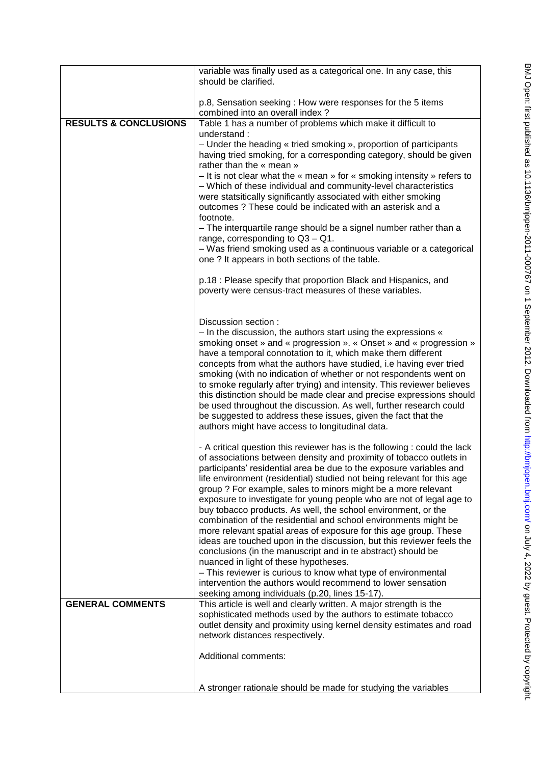|                                  | variable was finally used as a categorical one. In any case, this<br>should be clarified.                                                      |
|----------------------------------|------------------------------------------------------------------------------------------------------------------------------------------------|
|                                  | p.8, Sensation seeking: How were responses for the 5 items                                                                                     |
|                                  | combined into an overall index?                                                                                                                |
| <b>RESULTS &amp; CONCLUSIONS</b> | Table 1 has a number of problems which make it difficult to<br>understand:                                                                     |
|                                  | - Under the heading « tried smoking », proportion of participants                                                                              |
|                                  | having tried smoking, for a corresponding category, should be given                                                                            |
|                                  | rather than the « mean »                                                                                                                       |
|                                  | - It is not clear what the « mean » for « smoking intensity » refers to<br>- Which of these individual and community-level characteristics     |
|                                  | were statsitically significantly associated with either smoking                                                                                |
|                                  | outcomes ? These could be indicated with an asterisk and a                                                                                     |
|                                  | footnote.<br>- The interquartile range should be a signel number rather than a                                                                 |
|                                  | range, corresponding to $Q3 - Q1$ .                                                                                                            |
|                                  | - Was friend smoking used as a continuous variable or a categorical                                                                            |
|                                  | one ? It appears in both sections of the table.                                                                                                |
|                                  | p.18 : Please specify that proportion Black and Hispanics, and                                                                                 |
|                                  | poverty were census-tract measures of these variables.                                                                                         |
|                                  |                                                                                                                                                |
|                                  | Discussion section :                                                                                                                           |
|                                  | - In the discussion, the authors start using the expressions «                                                                                 |
|                                  | smoking onset » and « progression ». « Onset » and « progression »<br>have a temporal connotation to it, which make them different             |
|                                  | concepts from what the authors have studied, i.e having ever tried                                                                             |
|                                  | smoking (with no indication of whether or not respondents went on                                                                              |
|                                  | to smoke regularly after trying) and intensity. This reviewer believes<br>this distinction should be made clear and precise expressions should |
|                                  | be used throughout the discussion. As well, further research could                                                                             |
|                                  | be suggested to address these issues, given the fact that the                                                                                  |
|                                  | authors might have access to longitudinal data.                                                                                                |
|                                  | - A critical question this reviewer has is the following : could the lack                                                                      |
|                                  | of associations between density and proximity of tobacco outlets in                                                                            |
|                                  | participants' residential area be due to the exposure variables and<br>life environment (residential) studied not being relevant for this age  |
|                                  | group ? For example, sales to minors might be a more relevant                                                                                  |
|                                  | exposure to investigate for young people who are not of legal age to                                                                           |
|                                  | buy tobacco products. As well, the school environment, or the<br>combination of the residential and school environments might be               |
|                                  | more relevant spatial areas of exposure for this age group. These                                                                              |
|                                  | ideas are touched upon in the discussion, but this reviewer feels the                                                                          |
|                                  | conclusions (in the manuscript and in te abstract) should be<br>nuanced in light of these hypotheses.                                          |
|                                  | - This reviewer is curious to know what type of environmental                                                                                  |
|                                  | intervention the authors would recommend to lower sensation                                                                                    |
| <b>GENERAL COMMENTS</b>          | seeking among individuals (p.20, lines 15-17).<br>This article is well and clearly written. A major strength is the                            |
|                                  | sophisticated methods used by the authors to estimate tobacco                                                                                  |
|                                  | outlet density and proximity using kernel density estimates and road                                                                           |
|                                  | network distances respectively.                                                                                                                |
|                                  | Additional comments:                                                                                                                           |
|                                  |                                                                                                                                                |
|                                  | A stronger rationale should be made for studying the variables                                                                                 |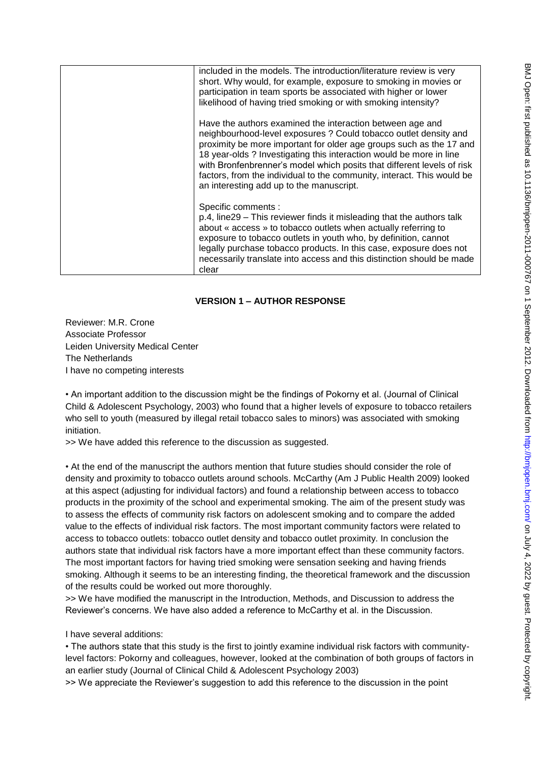| included in the models. The introduction/literature review is very<br>short. Why would, for example, exposure to smoking in movies or<br>participation in team sports be associated with higher or lower<br>likelihood of having tried smoking or with smoking intensity?                                                                                                                                                                                                   |
|-----------------------------------------------------------------------------------------------------------------------------------------------------------------------------------------------------------------------------------------------------------------------------------------------------------------------------------------------------------------------------------------------------------------------------------------------------------------------------|
| Have the authors examined the interaction between age and<br>neighbourhood-level exposures ? Could tobacco outlet density and<br>proximity be more important for older age groups such as the 17 and<br>18 year-olds ? Investigating this interaction would be more in line<br>with Bronfenbrenner's model which posits that different levels of risk<br>factors, from the individual to the community, interact. This would be<br>an interesting add up to the manuscript. |
| Specific comments :<br>p.4, line 29 – This reviewer finds it misleading that the authors talk<br>about « access » to tobacco outlets when actually referring to<br>exposure to tobacco outlets in youth who, by definition, cannot<br>legally purchase tobacco products. In this case, exposure does not<br>necessarily translate into access and this distinction should be made<br>clear                                                                                  |

## **VERSION 1 – AUTHOR RESPONSE**

Reviewer: M.R. Crone Associate Professor Leiden University Medical Center The Netherlands I have no competing interests

• An important addition to the discussion might be the findings of Pokorny et al. (Journal of Clinical Child & Adolescent Psychology, 2003) who found that a higher levels of exposure to tobacco retailers who sell to youth (measured by illegal retail tobacco sales to minors) was associated with smoking initiation.

>> We have added this reference to the discussion as suggested.

• At the end of the manuscript the authors mention that future studies should consider the role of density and proximity to tobacco outlets around schools. McCarthy (Am J Public Health 2009) looked at this aspect (adjusting for individual factors) and found a relationship between access to tobacco products in the proximity of the school and experimental smoking. The aim of the present study was to assess the effects of community risk factors on adolescent smoking and to compare the added value to the effects of individual risk factors. The most important community factors were related to access to tobacco outlets: tobacco outlet density and tobacco outlet proximity. In conclusion the authors state that individual risk factors have a more important effect than these community factors. The most important factors for having tried smoking were sensation seeking and having friends smoking. Although it seems to be an interesting finding, the theoretical framework and the discussion of the results could be worked out more thoroughly.

>> We have modified the manuscript in the Introduction, Methods, and Discussion to address the Reviewer's concerns. We have also added a reference to McCarthy et al. in the Discussion.

#### I have several additions:

• The authors state that this study is the first to jointly examine individual risk factors with communitylevel factors: Pokorny and colleagues, however, looked at the combination of both groups of factors in an earlier study (Journal of Clinical Child & Adolescent Psychology 2003)

>> We appreciate the Reviewer's suggestion to add this reference to the discussion in the point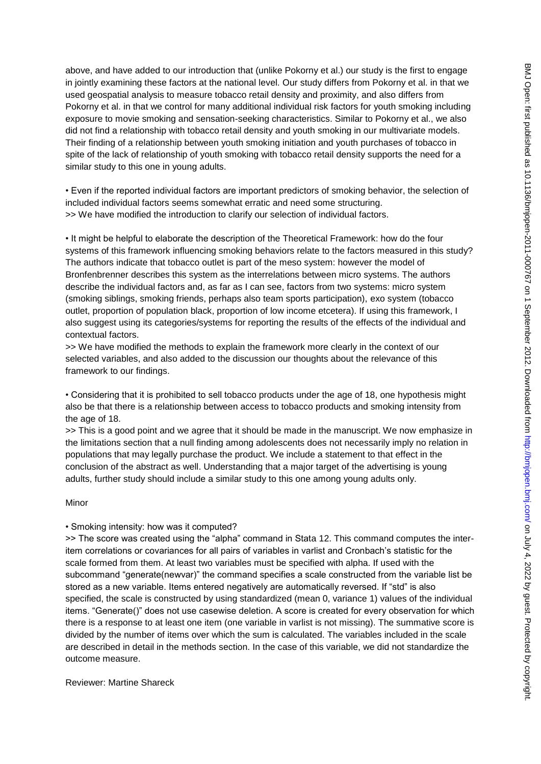above, and have added to our introduction that (unlike Pokorny et al.) our study is the first to engage in jointly examining these factors at the national level. Our study differs from Pokorny et al. in that we used geospatial analysis to measure tobacco retail density and proximity, and also differs from Pokorny et al. in that we control for many additional individual risk factors for youth smoking including exposure to movie smoking and sensation-seeking characteristics. Similar to Pokorny et al., we also did not find a relationship with tobacco retail density and youth smoking in our multivariate models. Their finding of a relationship between youth smoking initiation and youth purchases of tobacco in spite of the lack of relationship of youth smoking with tobacco retail density supports the need for a similar study to this one in young adults.

• Even if the reported individual factors are important predictors of smoking behavior, the selection of included individual factors seems somewhat erratic and need some structuring. >> We have modified the introduction to clarify our selection of individual factors.

• It might be helpful to elaborate the description of the Theoretical Framework: how do the four systems of this framework influencing smoking behaviors relate to the factors measured in this study? The authors indicate that tobacco outlet is part of the meso system: however the model of Bronfenbrenner describes this system as the interrelations between micro systems. The authors describe the individual factors and, as far as I can see, factors from two systems: micro system (smoking siblings, smoking friends, perhaps also team sports participation), exo system (tobacco outlet, proportion of population black, proportion of low income etcetera). If using this framework, I also suggest using its categories/systems for reporting the results of the effects of the individual and contextual factors.

>> We have modified the methods to explain the framework more clearly in the context of our selected variables, and also added to the discussion our thoughts about the relevance of this framework to our findings.

• Considering that it is prohibited to sell tobacco products under the age of 18, one hypothesis might also be that there is a relationship between access to tobacco products and smoking intensity from the age of 18.

>> This is a good point and we agree that it should be made in the manuscript. We now emphasize in the limitations section that a null finding among adolescents does not necessarily imply no relation in populations that may legally purchase the product. We include a statement to that effect in the conclusion of the abstract as well. Understanding that a major target of the advertising is young adults, further study should include a similar study to this one among young adults only.

### Minor

### • Smoking intensity: how was it computed?

>> The score was created using the "alpha" command in Stata 12. This command computes the interitem correlations or covariances for all pairs of variables in varlist and Cronbach's statistic for the scale formed from them. At least two variables must be specified with alpha. If used with the subcommand "generate(newvar)" the command specifies a scale constructed from the variable list be stored as a new variable. Items entered negatively are automatically reversed. If "std" is also specified, the scale is constructed by using standardized (mean 0, variance 1) values of the individual items. "Generate()" does not use casewise deletion. A score is created for every observation for which there is a response to at least one item (one variable in varlist is not missing). The summative score is divided by the number of items over which the sum is calculated. The variables included in the scale are described in detail in the methods section. In the case of this variable, we did not standardize the outcome measure.

Reviewer: Martine Shareck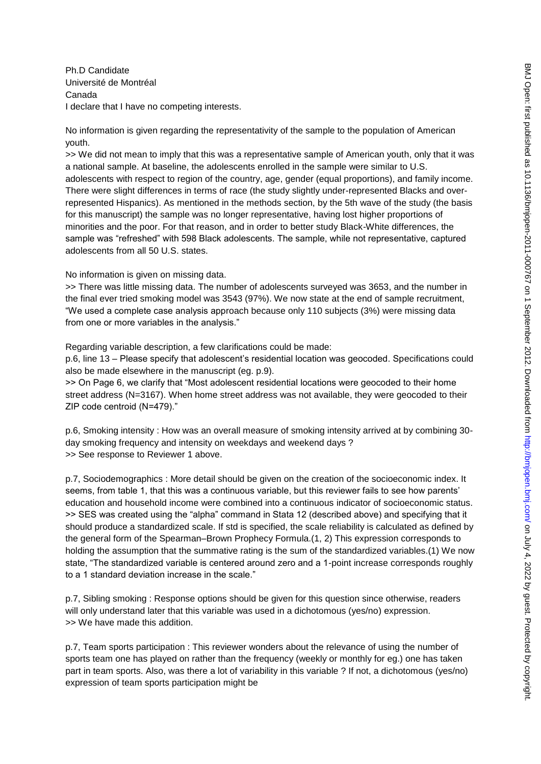Ph.D Candidate Université de Montréal Canada I declare that I have no competing interests.

No information is given regarding the representativity of the sample to the population of American youth.

>> We did not mean to imply that this was a representative sample of American youth, only that it was a national sample. At baseline, the adolescents enrolled in the sample were similar to U.S. adolescents with respect to region of the country, age, gender (equal proportions), and family income. There were slight differences in terms of race (the study slightly under-represented Blacks and overrepresented Hispanics). As mentioned in the methods section, by the 5th wave of the study (the basis for this manuscript) the sample was no longer representative, having lost higher proportions of minorities and the poor. For that reason, and in order to better study Black-White differences, the sample was "refreshed" with 598 Black adolescents. The sample, while not representative, captured adolescents from all 50 U.S. states.

No information is given on missing data.

>> There was little missing data. The number of adolescents surveyed was 3653, and the number in the final ever tried smoking model was 3543 (97%). We now state at the end of sample recruitment, ―We used a complete case analysis approach because only 110 subjects (3%) were missing data from one or more variables in the analysis."

Regarding variable description, a few clarifications could be made:

p.6, line 13 – Please specify that adolescent's residential location was geocoded. Specifications could also be made elsewhere in the manuscript (eg. p.9).

>> On Page 6, we clarify that "Most adolescent residential locations were geocoded to their home street address (N=3167). When home street address was not available, they were geocoded to their ZIP code centroid (N=479)."

p.6, Smoking intensity : How was an overall measure of smoking intensity arrived at by combining 30 day smoking frequency and intensity on weekdays and weekend days ? >> See response to Reviewer 1 above.

p.7, Sociodemographics : More detail should be given on the creation of the socioeconomic index. It seems, from table 1, that this was a continuous variable, but this reviewer fails to see how parents' education and household income were combined into a continuous indicator of socioeconomic status. >> SES was created using the "alpha" command in Stata 12 (described above) and specifying that it should produce a standardized scale. If std is specified, the scale reliability is calculated as defined by the general form of the Spearman–Brown Prophecy Formula.(1, 2) This expression corresponds to holding the assumption that the summative rating is the sum of the standardized variables.(1) We now state, "The standardized variable is centered around zero and a 1-point increase corresponds roughly to a 1 standard deviation increase in the scale."

p.7, Sibling smoking : Response options should be given for this question since otherwise, readers will only understand later that this variable was used in a dichotomous (yes/no) expression. >> We have made this addition.

p.7, Team sports participation : This reviewer wonders about the relevance of using the number of sports team one has played on rather than the frequency (weekly or monthly for eg.) one has taken part in team sports. Also, was there a lot of variability in this variable ? If not, a dichotomous (yes/no) expression of team sports participation might be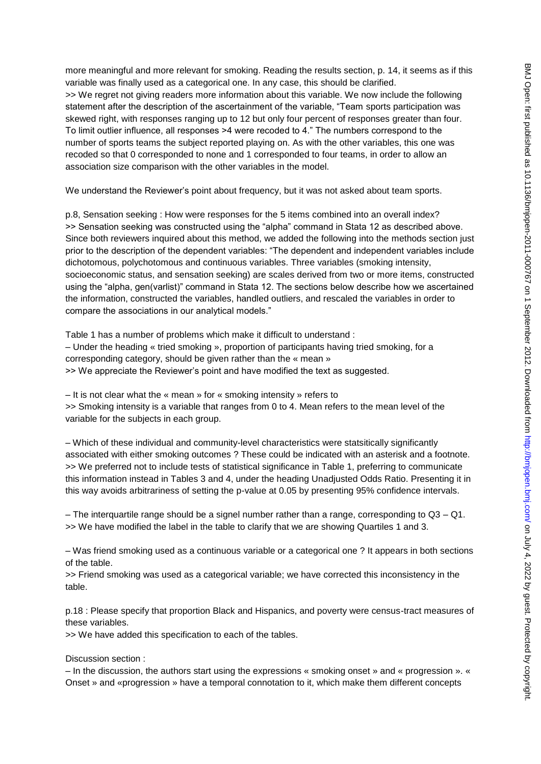more meaningful and more relevant for smoking. Reading the results section, p. 14, it seems as if this variable was finally used as a categorical one. In any case, this should be clarified. >> We regret not giving readers more information about this variable. We now include the following statement after the description of the ascertainment of the variable, "Team sports participation was skewed right, with responses ranging up to 12 but only four percent of responses greater than four. To limit outlier influence, all responses >4 were recoded to 4." The numbers correspond to the number of sports teams the subject reported playing on. As with the other variables, this one was recoded so that 0 corresponded to none and 1 corresponded to four teams, in order to allow an association size comparison with the other variables in the model.

We understand the Reviewer's point about frequency, but it was not asked about team sports.

p.8, Sensation seeking : How were responses for the 5 items combined into an overall index? >> Sensation seeking was constructed using the "alpha" command in Stata 12 as described above. Since both reviewers inquired about this method, we added the following into the methods section just prior to the description of the dependent variables: "The dependent and independent variables include dichotomous, polychotomous and continuous variables. Three variables (smoking intensity, socioeconomic status, and sensation seeking) are scales derived from two or more items, constructed using the "alpha, gen(varlist)" command in Stata 12. The sections below describe how we ascertained the information, constructed the variables, handled outliers, and rescaled the variables in order to compare the associations in our analytical models."

Table 1 has a number of problems which make it difficult to understand : – Under the heading « tried smoking », proportion of participants having tried smoking, for a corresponding category, should be given rather than the « mean » >> We appreciate the Reviewer's point and have modified the text as suggested.

– It is not clear what the « mean » for « smoking intensity » refers to >> Smoking intensity is a variable that ranges from 0 to 4. Mean refers to the mean level of the variable for the subjects in each group.

– Which of these individual and community-level characteristics were statsitically significantly associated with either smoking outcomes ? These could be indicated with an asterisk and a footnote. >> We preferred not to include tests of statistical significance in Table 1, preferring to communicate this information instead in Tables 3 and 4, under the heading Unadjusted Odds Ratio. Presenting it in this way avoids arbitrariness of setting the p-value at 0.05 by presenting 95% confidence intervals.

– The interquartile range should be a signel number rather than a range, corresponding to Q3 – Q1. >> We have modified the label in the table to clarify that we are showing Quartiles 1 and 3.

– Was friend smoking used as a continuous variable or a categorical one ? It appears in both sections of the table.

>> Friend smoking was used as a categorical variable; we have corrected this inconsistency in the table.

p.18 : Please specify that proportion Black and Hispanics, and poverty were census-tract measures of these variables.

>> We have added this specification to each of the tables.

#### Discussion section :

– In the discussion, the authors start using the expressions « smoking onset » and « progression ». « Onset » and «progression » have a temporal connotation to it, which make them different concepts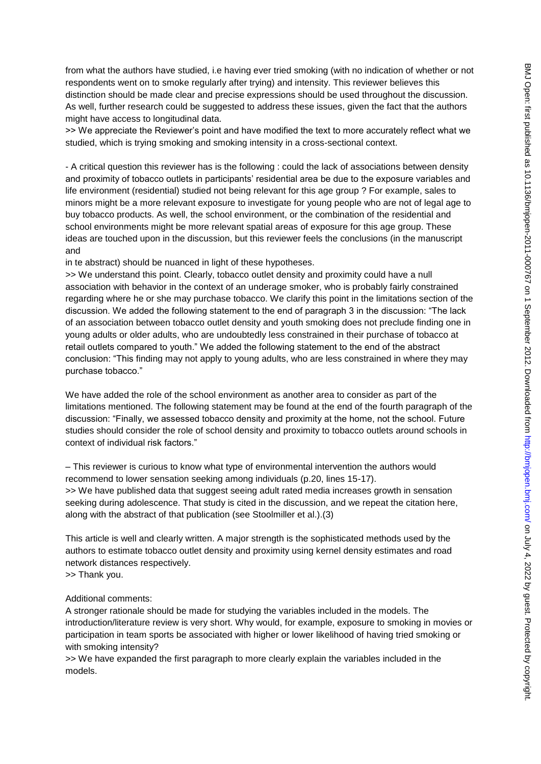from what the authors have studied, i.e having ever tried smoking (with no indication of whether or not respondents went on to smoke regularly after trying) and intensity. This reviewer believes this distinction should be made clear and precise expressions should be used throughout the discussion. As well, further research could be suggested to address these issues, given the fact that the authors might have access to longitudinal data.

>> We appreciate the Reviewer's point and have modified the text to more accurately reflect what we studied, which is trying smoking and smoking intensity in a cross-sectional context.

- A critical question this reviewer has is the following : could the lack of associations between density and proximity of tobacco outlets in participants' residential area be due to the exposure variables and life environment (residential) studied not being relevant for this age group ? For example, sales to minors might be a more relevant exposure to investigate for young people who are not of legal age to buy tobacco products. As well, the school environment, or the combination of the residential and school environments might be more relevant spatial areas of exposure for this age group. These ideas are touched upon in the discussion, but this reviewer feels the conclusions (in the manuscript and

in te abstract) should be nuanced in light of these hypotheses.

>> We understand this point. Clearly, tobacco outlet density and proximity could have a null association with behavior in the context of an underage smoker, who is probably fairly constrained regarding where he or she may purchase tobacco. We clarify this point in the limitations section of the discussion. We added the following statement to the end of paragraph 3 in the discussion: "The lack of an association between tobacco outlet density and youth smoking does not preclude finding one in young adults or older adults, who are undoubtedly less constrained in their purchase of tobacco at retail outlets compared to youth." We added the following statement to the end of the abstract conclusion: "This finding may not apply to young adults, who are less constrained in where they may purchase tobacco."

We have added the role of the school environment as another area to consider as part of the limitations mentioned. The following statement may be found at the end of the fourth paragraph of the discussion: "Finally, we assessed tobacco density and proximity at the home, not the school. Future studies should consider the role of school density and proximity to tobacco outlets around schools in context of individual risk factors."

– This reviewer is curious to know what type of environmental intervention the authors would recommend to lower sensation seeking among individuals (p.20, lines 15-17). >> We have published data that suggest seeing adult rated media increases growth in sensation seeking during adolescence. That study is cited in the discussion, and we repeat the citation here, along with the abstract of that publication (see Stoolmiller et al.).(3)

This article is well and clearly written. A major strength is the sophisticated methods used by the authors to estimate tobacco outlet density and proximity using kernel density estimates and road network distances respectively.

>> Thank you.

#### Additional comments:

A stronger rationale should be made for studying the variables included in the models. The introduction/literature review is very short. Why would, for example, exposure to smoking in movies or participation in team sports be associated with higher or lower likelihood of having tried smoking or with smoking intensity?

>> We have expanded the first paragraph to more clearly explain the variables included in the models.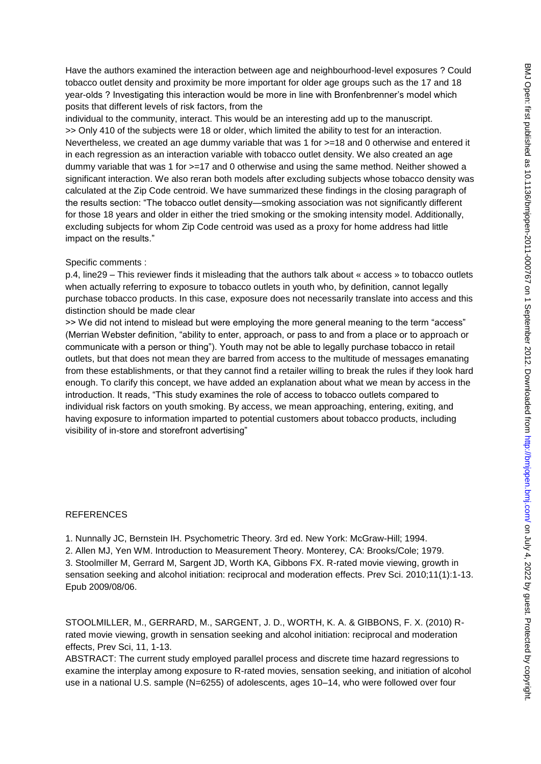Have the authors examined the interaction between age and neighbourhood-level exposures ? Could tobacco outlet density and proximity be more important for older age groups such as the 17 and 18 year-olds ? Investigating this interaction would be more in line with Bronfenbrenner's model which posits that different levels of risk factors, from the

individual to the community, interact. This would be an interesting add up to the manuscript. >> Only 410 of the subjects were 18 or older, which limited the ability to test for an interaction. Nevertheless, we created an age dummy variable that was 1 for  $>=18$  and 0 otherwise and entered it in each regression as an interaction variable with tobacco outlet density. We also created an age dummy variable that was 1 for  $>=17$  and 0 otherwise and using the same method. Neither showed a significant interaction. We also reran both models after excluding subjects whose tobacco density was calculated at the Zip Code centroid. We have summarized these findings in the closing paragraph of the results section: "The tobacco outlet density—smoking association was not significantly different for those 18 years and older in either the tried smoking or the smoking intensity model. Additionally, excluding subjects for whom Zip Code centroid was used as a proxy for home address had little impact on the results."

#### Specific comments :

p.4, line29 – This reviewer finds it misleading that the authors talk about « access » to tobacco outlets when actually referring to exposure to tobacco outlets in youth who, by definition, cannot legally purchase tobacco products. In this case, exposure does not necessarily translate into access and this distinction should be made clear

>> We did not intend to mislead but were employing the more general meaning to the term "access" (Merrian Webster definition, "ability to enter, approach, or pass to and from a place or to approach or communicate with a person or thing"). Youth may not be able to legally purchase tobacco in retail outlets, but that does not mean they are barred from access to the multitude of messages emanating from these establishments, or that they cannot find a retailer willing to break the rules if they look hard enough. To clarify this concept, we have added an explanation about what we mean by access in the introduction. It reads, "This study examines the role of access to tobacco outlets compared to individual risk factors on youth smoking. By access, we mean approaching, entering, exiting, and having exposure to information imparted to potential customers about tobacco products, including visibility of in-store and storefront advertising"

#### **REFERENCES**

1. Nunnally JC, Bernstein IH. Psychometric Theory. 3rd ed. New York: McGraw-Hill; 1994. 2. Allen MJ, Yen WM. Introduction to Measurement Theory. Monterey, CA: Brooks/Cole; 1979. 3. Stoolmiller M, Gerrard M, Sargent JD, Worth KA, Gibbons FX. R-rated movie viewing, growth in sensation seeking and alcohol initiation: reciprocal and moderation effects. Prev Sci. 2010;11(1):1-13. Epub 2009/08/06.

STOOLMILLER, M., GERRARD, M., SARGENT, J. D., WORTH, K. A. & GIBBONS, F. X. (2010) Rrated movie viewing, growth in sensation seeking and alcohol initiation: reciprocal and moderation effects, Prev Sci, 11, 1-13.

ABSTRACT: The current study employed parallel process and discrete time hazard regressions to examine the interplay among exposure to R-rated movies, sensation seeking, and initiation of alcohol use in a national U.S. sample (N=6255) of adolescents, ages 10–14, who were followed over four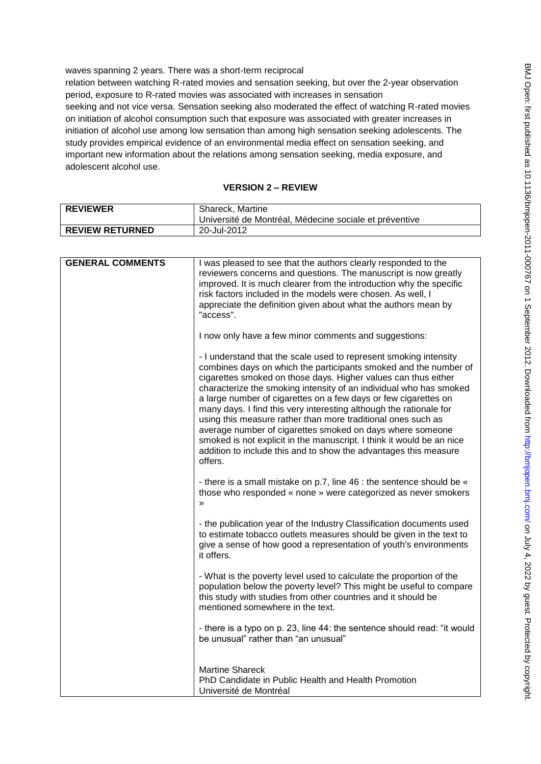waves spanning 2 years. There was a short-term reciprocal

relation between watching R-rated movies and sensation seeking, but over the 2-year observation period, exposure to R-rated movies was associated with increases in sensation seeking and not vice versa. Sensation seeking also moderated the effect of watching R-rated movies on initiation of alcohol consumption such that exposure was associated with greater increases in initiation of alcohol use among low sensation than among high sensation seeking adolescents. The study provides empirical evidence of an environmental media effect on sensation seeking, and important new information about the relations among sensation seeking, media exposure, and adolescent alcohol use.

# **VERSION 2 – REVIEW**

| <b>REVIEWER</b>        | Shareck, Martine<br>Université de Montréal, Médecine sociale et préventive |
|------------------------|----------------------------------------------------------------------------|
| <b>REVIEW RETURNED</b> | 20-Jul-2012                                                                |

| <b>GENERAL COMMENTS</b> | I was pleased to see that the authors clearly responded to the                                                                                                                                                                                                                                                                                                                                                                                                                                                                                                                                                                                                                                              |
|-------------------------|-------------------------------------------------------------------------------------------------------------------------------------------------------------------------------------------------------------------------------------------------------------------------------------------------------------------------------------------------------------------------------------------------------------------------------------------------------------------------------------------------------------------------------------------------------------------------------------------------------------------------------------------------------------------------------------------------------------|
|                         | reviewers concerns and questions. The manuscript is now greatly<br>improved. It is much clearer from the introduction why the specific                                                                                                                                                                                                                                                                                                                                                                                                                                                                                                                                                                      |
|                         | risk factors included in the models were chosen. As well, I                                                                                                                                                                                                                                                                                                                                                                                                                                                                                                                                                                                                                                                 |
|                         | appreciate the definition given about what the authors mean by                                                                                                                                                                                                                                                                                                                                                                                                                                                                                                                                                                                                                                              |
|                         | "access".                                                                                                                                                                                                                                                                                                                                                                                                                                                                                                                                                                                                                                                                                                   |
|                         | I now only have a few minor comments and suggestions:                                                                                                                                                                                                                                                                                                                                                                                                                                                                                                                                                                                                                                                       |
|                         | - I understand that the scale used to represent smoking intensity<br>combines days on which the participants smoked and the number of<br>cigarettes smoked on those days. Higher values can thus either<br>characterize the smoking intensity of an individual who has smoked<br>a large number of cigarettes on a few days or few cigarettes on<br>many days. I find this very interesting although the rationale for<br>using this measure rather than more traditional ones such as<br>average number of cigarettes smoked on days where someone<br>smoked is not explicit in the manuscript. I think it would be an nice<br>addition to include this and to show the advantages this measure<br>offers. |
|                         | - there is a small mistake on p.7, line 46 : the sentence should be «<br>those who responded « none » were categorized as never smokers<br>$\mathcal{V}$                                                                                                                                                                                                                                                                                                                                                                                                                                                                                                                                                    |
|                         | - the publication year of the Industry Classification documents used<br>to estimate tobacco outlets measures should be given in the text to<br>give a sense of how good a representation of youth's environments<br>it offers.                                                                                                                                                                                                                                                                                                                                                                                                                                                                              |
|                         | - What is the poverty level used to calculate the proportion of the<br>population below the poverty level? This might be useful to compare<br>this study with studies from other countries and it should be<br>mentioned somewhere in the text.                                                                                                                                                                                                                                                                                                                                                                                                                                                             |
|                         | - there is a typo on p. 23, line 44: the sentence should read: "it would<br>be unusual" rather than "an unusual"                                                                                                                                                                                                                                                                                                                                                                                                                                                                                                                                                                                            |
|                         | <b>Martine Shareck</b>                                                                                                                                                                                                                                                                                                                                                                                                                                                                                                                                                                                                                                                                                      |
|                         | PhD Candidate in Public Health and Health Promotion                                                                                                                                                                                                                                                                                                                                                                                                                                                                                                                                                                                                                                                         |
|                         | Université de Montréal                                                                                                                                                                                                                                                                                                                                                                                                                                                                                                                                                                                                                                                                                      |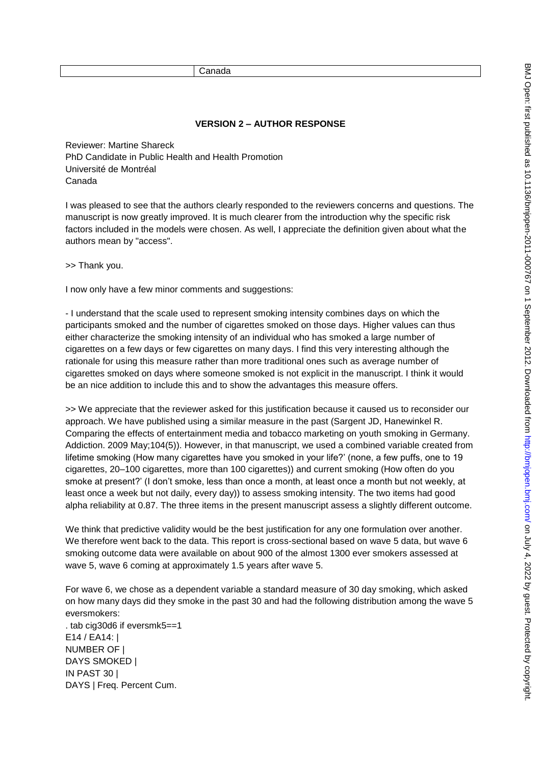Canada

#### **VERSION 2 – AUTHOR RESPONSE**

Reviewer: Martine Shareck PhD Candidate in Public Health and Health Promotion Université de Montréal Canada

I was pleased to see that the authors clearly responded to the reviewers concerns and questions. The manuscript is now greatly improved. It is much clearer from the introduction why the specific risk factors included in the models were chosen. As well, I appreciate the definition given about what the authors mean by "access".

>> Thank you.

I now only have a few minor comments and suggestions:

- I understand that the scale used to represent smoking intensity combines days on which the participants smoked and the number of cigarettes smoked on those days. Higher values can thus either characterize the smoking intensity of an individual who has smoked a large number of cigarettes on a few days or few cigarettes on many days. I find this very interesting although the rationale for using this measure rather than more traditional ones such as average number of cigarettes smoked on days where someone smoked is not explicit in the manuscript. I think it would be an nice addition to include this and to show the advantages this measure offers.

>> We appreciate that the reviewer asked for this justification because it caused us to reconsider our approach. We have published using a similar measure in the past (Sargent JD, Hanewinkel R. Comparing the effects of entertainment media and tobacco marketing on youth smoking in Germany. Addiction. 2009 May;104(5)). However, in that manuscript, we used a combined variable created from lifetime smoking (How many cigarettes have you smoked in your life?' (none, a few puffs, one to 19 cigarettes, 20–100 cigarettes, more than 100 cigarettes)) and current smoking (How often do you smoke at present?' (I don't smoke, less than once a month, at least once a month but not weekly, at least once a week but not daily, every day)) to assess smoking intensity. The two items had good alpha reliability at 0.87. The three items in the present manuscript assess a slightly different outcome.

We think that predictive validity would be the best justification for any one formulation over another. We therefore went back to the data. This report is cross-sectional based on wave 5 data, but wave 6 smoking outcome data were available on about 900 of the almost 1300 ever smokers assessed at wave 5, wave 6 coming at approximately 1.5 years after wave 5.

For wave 6, we chose as a dependent variable a standard measure of 30 day smoking, which asked on how many days did they smoke in the past 30 and had the following distribution among the wave 5 eversmokers:

. tab cig30d6 if eversmk5==1 E14 / EA14: | NUMBER OF | DAYS SMOKED | IN PAST 30 | DAYS | Freq. Percent Cum.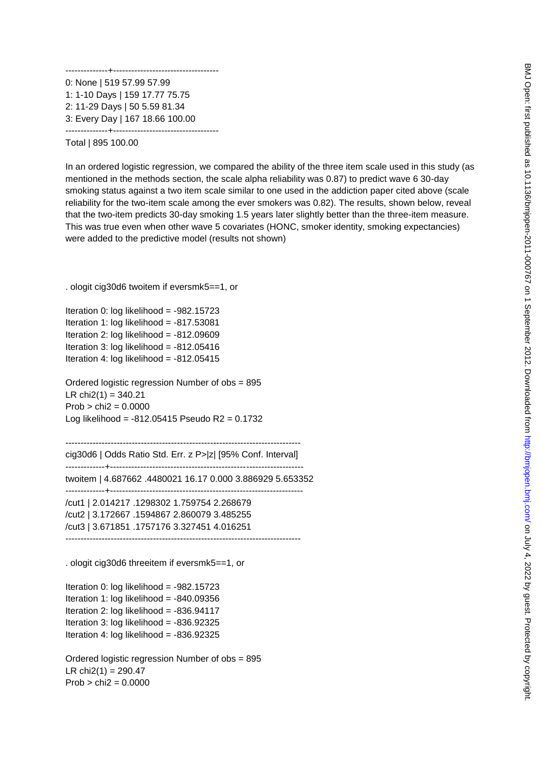BMJ Open: first published as 10.1136/bmjopen-2011-000767 on 1 September 2012. Downloaded from http://bmjopen.bmj.com/ on July 4, 2022 by guest. Protected by copyright BMJ Open: first published as 10.1136/bmjopen-2011-000767 on 1 September 2012. Downloaded from <http://bmjopen.bmj.com/> on July 4, 2022 by guest. Protected by copyright.

--------------+----------------------------------- 0: None | 519 57.99 57.99 1: 1-10 Days | 159 17.77 75.75 2: 11-29 Days | 50 5.59 81.34 3: Every Day | 167 18.66 100.00 --------------+-----------------------------------

Total | 895 100.00

In an ordered logistic regression, we compared the ability of the three item scale used in this study (as mentioned in the methods section, the scale alpha reliability was 0.87) to predict wave 6 30-day smoking status against a two item scale similar to one used in the addiction paper cited above (scale reliability for the two-item scale among the ever smokers was 0.82). The results, shown below, reveal that the two-item predicts 30-day smoking 1.5 years later slightly better than the three-item measure. This was true even when other wave 5 covariates (HONC, smoker identity, smoking expectancies) were added to the predictive model (results not shown)

. ologit cig30d6 twoitem if eversmk5==1, or

Iteration 0: log likelihood = -982.15723 Iteration 1: log likelihood = -817.53081 Iteration 2: log likelihood = -812.09609 Iteration 3:  $log$  likelihood =  $-812.05416$ Iteration 4: log likelihood =  $-812.05415$ 

Ordered logistic regression Number of obs = 895 LR  $chi(1) = 340.21$  $Prob > chi2 = 0.0000$ Log likelihood = -812.05415 Pseudo R2 = 0.1732

----------------------------------------------------------------------------- cig30d6 | Odds Ratio Std. Err. z P>|z| [95% Conf. Interval] -------------+--------------------------------------------------------------- twoitem | 4.687662 .4480021 16.17 0.000 3.886929 5.653352 -------------+----------------------------------------------------------------

/cut1 | 2.014217 .1298302 1.759754 2.268679 /cut2 | 3.172667 .1594867 2.860079 3.485255 /cut3 | 3.671851 .1757176 3.327451 4.016251 ------------------------------------------------------------------------------

. ologit cig30d6 threeitem if eversmk5==1, or

Iteration 0: log likelihood = -982.15723 Iteration 1:  $log$  likelihood =  $-840.09356$ Iteration 2: log likelihood = -836.94117 Iteration 3: log likelihood = -836.92325 Iteration 4: log likelihood =  $-836.92325$ 

Ordered logistic regression Number of obs = 895 LR  $chi2(1) = 290.47$  $Prob > chi2 = 0.0000$